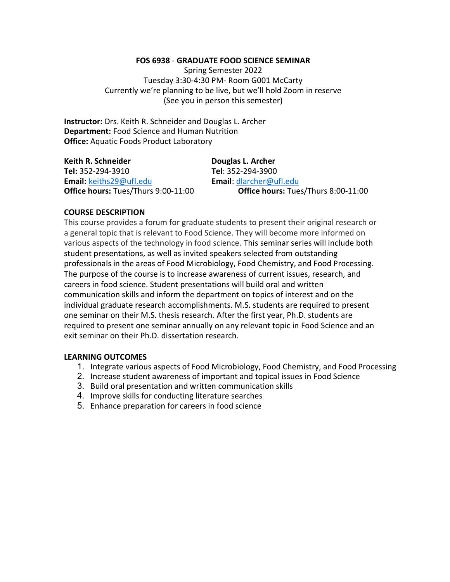#### FOS 6938 - GRADUATE FOOD SCIENCE SEMINAR

Spring Semester 2022 Tuesday 3:30-4:30 PM- Room G001 McCarty Currently we're planning to be live, but we'll hold Zoom in reserve (See you in person this semester)

Instructor: Drs. Keith R. Schneider and Douglas L. Archer Department: Food Science and Human Nutrition Office: Aquatic Foods Product Laboratory

| Keith R. Schneider                  | Douglas L. Archer                   |
|-------------------------------------|-------------------------------------|
| Tel: 352-294-3910                   | Tel: 352-294-3900                   |
| Email: keiths29@ufl.edu             | <b>Email:</b> dlarcher@ufl.edu      |
| Office hours: Tues/Thurs 9:00-11:00 | Office hours: Tues/Thurs 8:00-11:00 |

#### COURSE DESCRIPTION

This course provides a forum for graduate students to present their original research or a general topic that is relevant to Food Science. They will become more informed on various aspects of the technology in food science. This seminar series will include both student presentations, as well as invited speakers selected from outstanding professionals in the areas of Food Microbiology, Food Chemistry, and Food Processing. The purpose of the course is to increase awareness of current issues, research, and careers in food science. Student presentations will build oral and written communication skills and inform the department on topics of interest and on the individual graduate research accomplishments. M.S. students are required to present one seminar on their M.S. thesis research. After the first year, Ph.D. students are required to present one seminar annually on any relevant topic in Food Science and an exit seminar on their Ph.D. dissertation research.

#### LEARNING OUTCOMES

- 1. Integrate various aspects of Food Microbiology, Food Chemistry, and Food Processing
- 2. Increase student awareness of important and topical issues in Food Science
- 3. Build oral presentation and written communication skills
- 4. Improve skills for conducting literature searches
- 5. Enhance preparation for careers in food science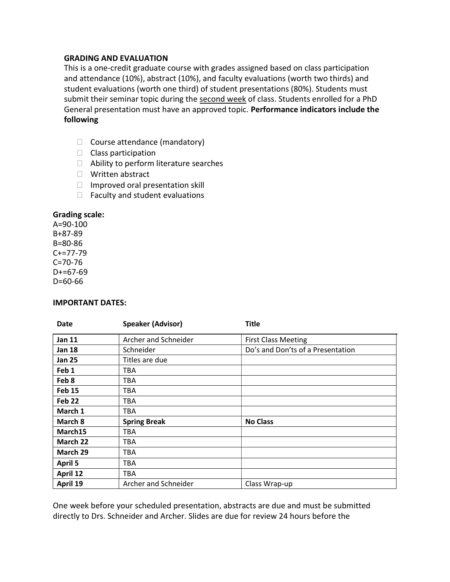#### GRADING AND EVALUATION

This is a one-credit graduate course with grades assigned based on class participation and attendance (10%), abstract (10%), and faculty evaluations (worth two thirds) and student evaluations (worth one third) of student presentations (80%). Students must submit their seminar topic during the second week of class. Students enrolled for a PhD General presentation must have an approved topic. Performance indicators include the following

- $\Box$  Course attendance (mandatory)
- $\Box$  Class participation
- $\Box$  Ability to perform literature searches
- □ Written abstract
- $\Box$  Improved oral presentation skill
- $\Box$  Faculty and student evaluations

#### Grading scale:

A=90-100 B+87-89 B=80-86 C+=77-79 C=70-76  $D+=67-69$ D=60-66

#### IMPORTANT DATES:

| <b>Date</b>       | <b>Speaker (Advisor)</b> | <b>Title</b>                      |
|-------------------|--------------------------|-----------------------------------|
| <b>Jan 11</b>     | Archer and Schneider     | <b>First Class Meeting</b>        |
| <b>Jan 18</b>     | Schneider                | Do's and Don'ts of a Presentation |
| <b>Jan 25</b>     | Titles are due           |                                   |
| Feb <sub>1</sub>  | TBA                      |                                   |
| Feb 8             | TBA                      |                                   |
| <b>Feb 15</b>     | TBA                      |                                   |
| Feb <sub>22</sub> | <b>TBA</b>               |                                   |
| March 1           | <b>TBA</b>               |                                   |
| March 8           | <b>Spring Break</b>      | <b>No Class</b>                   |
| March15           | <b>TBA</b>               |                                   |
| March 22          | <b>TBA</b>               |                                   |
| March 29          | TBA                      |                                   |
| <b>April 5</b>    | <b>TBA</b>               |                                   |
| April 12          | <b>TBA</b>               |                                   |
| April 19          | Archer and Schneider     | Class Wrap-up                     |

One week before your scheduled presentation, abstracts are due and must be submitted directly to Drs. Schneider and Archer. Slides are due for review 24 hours before the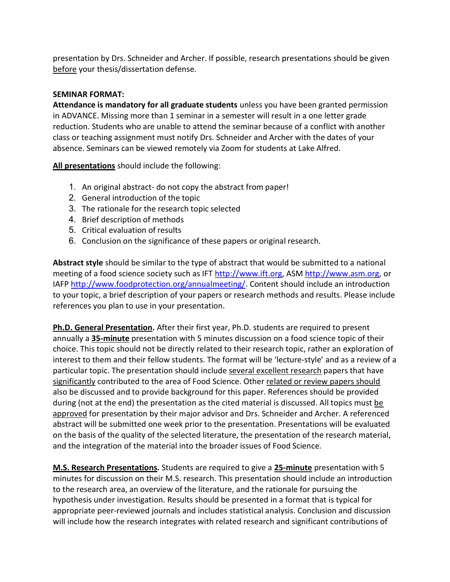presentation by Drs. Schneider and Archer. If possible, research presentations should be given before your thesis/dissertation defense.

## SEMINAR FORMAT:

Attendance is mandatory for all graduate students unless you have been granted permission in ADVANCE. Missing more than 1 seminar in a semester will result in a one letter grade reduction. Students who are unable to attend the seminar because of a conflict with another class or teaching assignment must notify Drs. Schneider and Archer with the dates of your absence. Seminars can be viewed remotely via Zoom for students at Lake Alfred.

All presentations should include the following:

- 1. An original abstract- do not copy the abstract from paper!
- 2. General introduction of the topic
- 3. The rationale for the research topic selected
- 4. Brief description of methods
- 5. Critical evaluation of results
- 6. Conclusion on the significance of these papers or original research.

Abstract style should be similar to the type of abstract that would be submitted to a national meeting of a food science society such as IFT http://www.ift.org, ASM http://www.asm.org, or IAFP http://www.foodprotection.org/annualmeeting/. Content should include an introduction to your topic, a brief description of your papers or research methods and results. Please include references you plan to use in your presentation.

Ph.D. General Presentation. After their first year, Ph.D. students are required to present annually a 35-minute presentation with 5 minutes discussion on a food science topic of their choice. This topic should not be directly related to their research topic, rather an exploration of interest to them and their fellow students. The format will be 'lecture-style' and as a review of a particular topic. The presentation should include several excellent research papers that have significantly contributed to the area of Food Science. Other related or review papers should also be discussed and to provide background for this paper. References should be provided during (not at the end) the presentation as the cited material is discussed. All topics must be approved for presentation by their major advisor and Drs. Schneider and Archer. A referenced abstract will be submitted one week prior to the presentation. Presentations will be evaluated on the basis of the quality of the selected literature, the presentation of the research material, and the integration of the material into the broader issues of Food Science.

M.S. Research Presentations. Students are required to give a 25-minute presentation with 5 minutes for discussion on their M.S. research. This presentation should include an introduction to the research area, an overview of the literature, and the rationale for pursuing the hypothesis under investigation. Results should be presented in a format that is typical for appropriate peer-reviewed journals and includes statistical analysis. Conclusion and discussion will include how the research integrates with related research and significant contributions of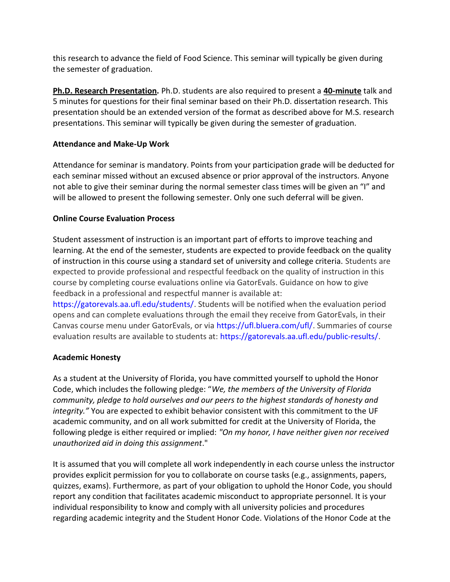this research to advance the field of Food Science. This seminar will typically be given during the semester of graduation.

Ph.D. Research Presentation. Ph.D. students are also required to present a 40-minute talk and 5 minutes for questions for their final seminar based on their Ph.D. dissertation research. This presentation should be an extended version of the format as described above for M.S. research presentations. This seminar will typically be given during the semester of graduation.

## Attendance and Make-Up Work

Attendance for seminar is mandatory. Points from your participation grade will be deducted for each seminar missed without an excused absence or prior approval of the instructors. Anyone not able to give their seminar during the normal semester class times will be given an "I" and will be allowed to present the following semester. Only one such deferral will be given.

### Online Course Evaluation Process

Student assessment of instruction is an important part of efforts to improve teaching and learning. At the end of the semester, students are expected to provide feedback on the quality of instruction in this course using a standard set of university and college criteria. Students are expected to provide professional and respectful feedback on the quality of instruction in this course by completing course evaluations online via GatorEvals. Guidance on how to give feedback in a professional and respectful manner is available at:

https://gatorevals.aa.ufl.edu/students/. Students will be notified when the evaluation period opens and can complete evaluations through the email they receive from GatorEvals, in their Canvas course menu under GatorEvals, or via https://ufl.bluera.com/ufl/. Summaries of course evaluation results are available to students at: https://gatorevals.aa.ufl.edu/public-results/.

### Academic Honesty

As a student at the University of Florida, you have committed yourself to uphold the Honor Code, which includes the following pledge: "We, the members of the University of Florida community, pledge to hold ourselves and our peers to the highest standards of honesty and integrity." You are expected to exhibit behavior consistent with this commitment to the UF academic community, and on all work submitted for credit at the University of Florida, the following pledge is either required or implied: "On my honor, I have neither given nor received unauthorized aid in doing this assignment."

It is assumed that you will complete all work independently in each course unless the instructor provides explicit permission for you to collaborate on course tasks (e.g., assignments, papers, quizzes, exams). Furthermore, as part of your obligation to uphold the Honor Code, you should report any condition that facilitates academic misconduct to appropriate personnel. It is your individual responsibility to know and comply with all university policies and procedures regarding academic integrity and the Student Honor Code. Violations of the Honor Code at the